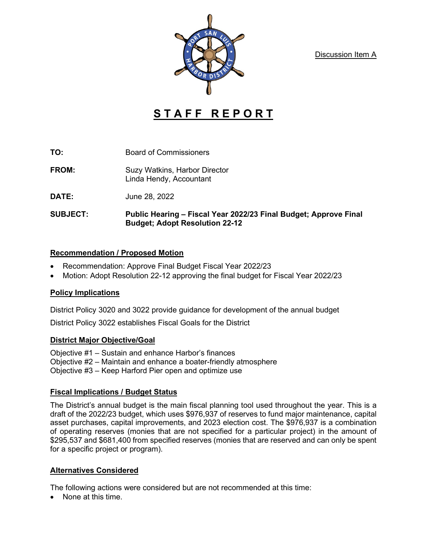Discussion Item A



# **S T A F F R E P O R T**

- **TO:** Board of Commissioners
- **FROM:** Suzy Watkins, Harbor Director Linda Hendy, Accountant
- **DATE:** June 28, 2022
- **SUBJECT: Public Hearing – Fiscal Year 2022/23 Final Budget; Approve Final Budget; Adopt Resolution 22-12**

### **Recommendation / Proposed Motion**

- Recommendation: Approve Final Budget Fiscal Year 2022/23
- Motion: Adopt Resolution 22-12 approving the final budget for Fiscal Year 2022/23

## **Policy Implications**

District Policy 3020 and 3022 provide guidance for development of the annual budget

District Policy 3022 establishes Fiscal Goals for the District

#### **District Major Objective/Goal**

Objective #1 – Sustain and enhance Harbor's finances Objective #2 – Maintain and enhance a boater-friendly atmosphere Objective #3 – Keep Harford Pier open and optimize use

## **Fiscal Implications / Budget Status**

The District's annual budget is the main fiscal planning tool used throughout the year. This is a draft of the 2022/23 budget, which uses \$976,937 of reserves to fund major maintenance, capital asset purchases, capital improvements, and 2023 election cost. The \$976,937 is a combination of operating reserves (monies that are not specified for a particular project) in the amount of \$295,537 and \$681,400 from specified reserves (monies that are reserved and can only be spent for a specific project or program).

## **Alternatives Considered**

The following actions were considered but are not recommended at this time:

• None at this time.